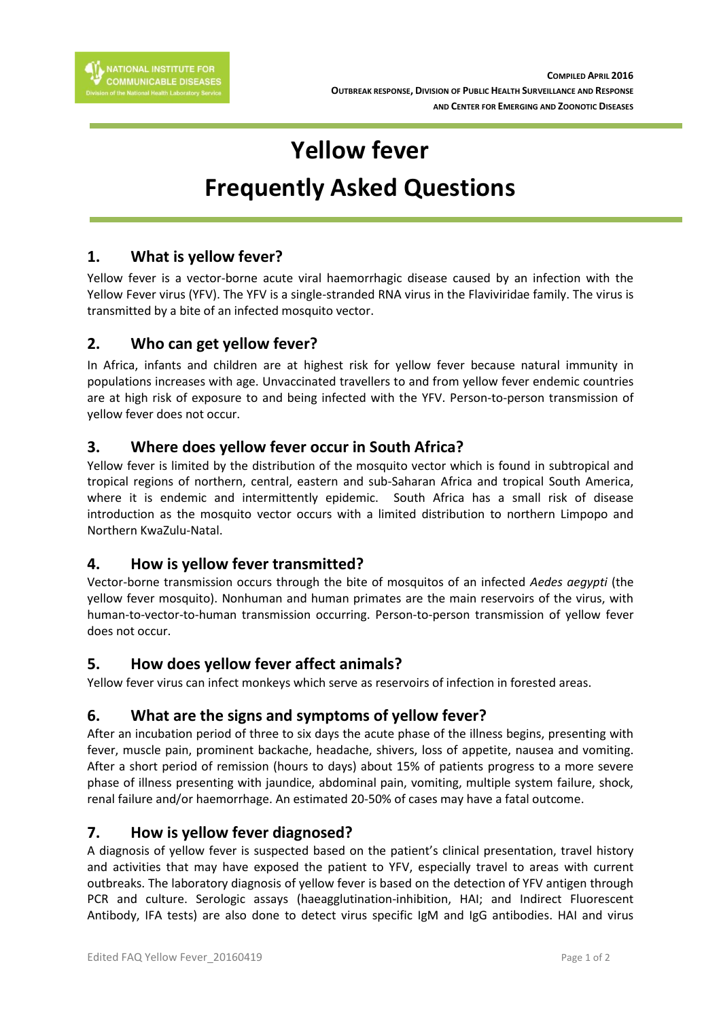

# **Yellow fever Frequently Asked Questions**

## **1. What is yellow fever?**

Yellow fever is a vector-borne acute viral haemorrhagic disease caused by an infection with the Yellow Fever virus (YFV). The YFV is a single-stranded RNA virus in the Flaviviridae family. The virus is transmitted by a bite of an infected mosquito vector.

### **2. Who can get yellow fever?**

In Africa, infants and children are at highest risk for yellow fever because natural immunity in populations increases with age. Unvaccinated travellers to and from yellow fever endemic countries are at high risk of exposure to and being infected with the YFV. Person-to-person transmission of yellow fever does not occur.

### **3. Where does yellow fever occur in South Africa?**

Yellow fever is limited by the distribution of the mosquito vector which is found in subtropical and tropical regions of northern, central, eastern and sub-Saharan Africa and tropical South America, where it is endemic and intermittently epidemic. South Africa has a small risk of disease introduction as the mosquito vector occurs with a limited distribution to northern Limpopo and Northern KwaZulu-Natal.

### **4. How is yellow fever transmitted?**

Vector-borne transmission occurs through the bite of mosquitos of an infected *Aedes aegypti* (the yellow fever mosquito). Nonhuman and human primates are the main reservoirs of the virus, with human-to-vector-to-human transmission occurring. Person-to-person transmission of yellow fever does not occur.

### **5. How does yellow fever affect animals?**

Yellow fever virus can infect monkeys which serve as reservoirs of infection in forested areas.

### **6. What are the signs and symptoms of yellow fever?**

After an incubation period of three to six days the acute phase of the illness begins, presenting with fever, muscle pain, prominent backache, headache, shivers, loss of appetite, nausea and vomiting. After a short period of remission (hours to days) about 15% of patients progress to a more severe phase of illness presenting with jaundice, abdominal pain, vomiting, multiple system failure, shock, renal failure and/or haemorrhage. An estimated 20-50% of cases may have a fatal outcome.

#### **7. How is yellow fever diagnosed?**

A diagnosis of yellow fever is suspected based on the patient's clinical presentation, travel history and activities that may have exposed the patient to YFV, especially travel to areas with current outbreaks. The laboratory diagnosis of yellow fever is based on the detection of YFV antigen through PCR and culture. Serologic assays (haeagglutination-inhibition, HAI; and Indirect Fluorescent Antibody, IFA tests) are also done to detect virus specific IgM and IgG antibodies. HAI and virus